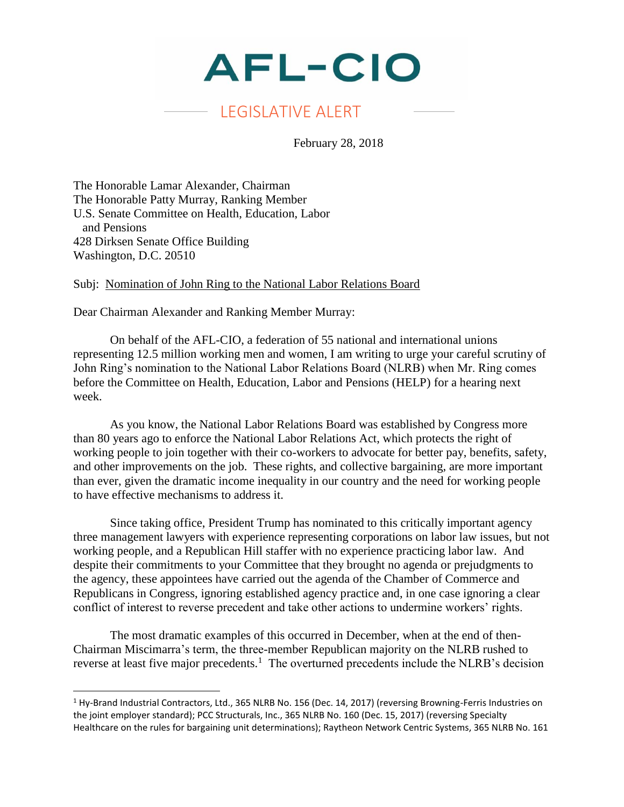

## LEGISLATIVE ALERT

February 28, 2018

The Honorable Lamar Alexander, Chairman The Honorable Patty Murray, Ranking Member U.S. Senate Committee on Health, Education, Labor and Pensions 428 Dirksen Senate Office Building Washington, D.C. 20510

Subj: Nomination of John Ring to the National Labor Relations Board

Dear Chairman Alexander and Ranking Member Murray:

 $\overline{a}$ 

On behalf of the AFL-CIO, a federation of 55 national and international unions representing 12.5 million working men and women, I am writing to urge your careful scrutiny of John Ring's nomination to the National Labor Relations Board (NLRB) when Mr. Ring comes before the Committee on Health, Education, Labor and Pensions (HELP) for a hearing next week.

As you know, the National Labor Relations Board was established by Congress more than 80 years ago to enforce the National Labor Relations Act, which protects the right of working people to join together with their co-workers to advocate for better pay, benefits, safety, and other improvements on the job. These rights, and collective bargaining, are more important than ever, given the dramatic income inequality in our country and the need for working people to have effective mechanisms to address it.

Since taking office, President Trump has nominated to this critically important agency three management lawyers with experience representing corporations on labor law issues, but not working people, and a Republican Hill staffer with no experience practicing labor law. And despite their commitments to your Committee that they brought no agenda or prejudgments to the agency, these appointees have carried out the agenda of the Chamber of Commerce and Republicans in Congress, ignoring established agency practice and, in one case ignoring a clear conflict of interest to reverse precedent and take other actions to undermine workers' rights.

The most dramatic examples of this occurred in December, when at the end of then-Chairman Miscimarra's term, the three-member Republican majority on the NLRB rushed to reverse at least five major precedents.<sup>1</sup> The overturned precedents include the NLRB's decision

<sup>&</sup>lt;sup>1</sup> Hy-Brand Industrial Contractors, Ltd., 365 NLRB No. 156 (Dec. 14, 2017) (reversing Browning-Ferris Industries on the joint employer standard); PCC Structurals, Inc., 365 NLRB No. 160 (Dec. 15, 2017) (reversing Specialty Healthcare on the rules for bargaining unit determinations); Raytheon Network Centric Systems, 365 NLRB No. 161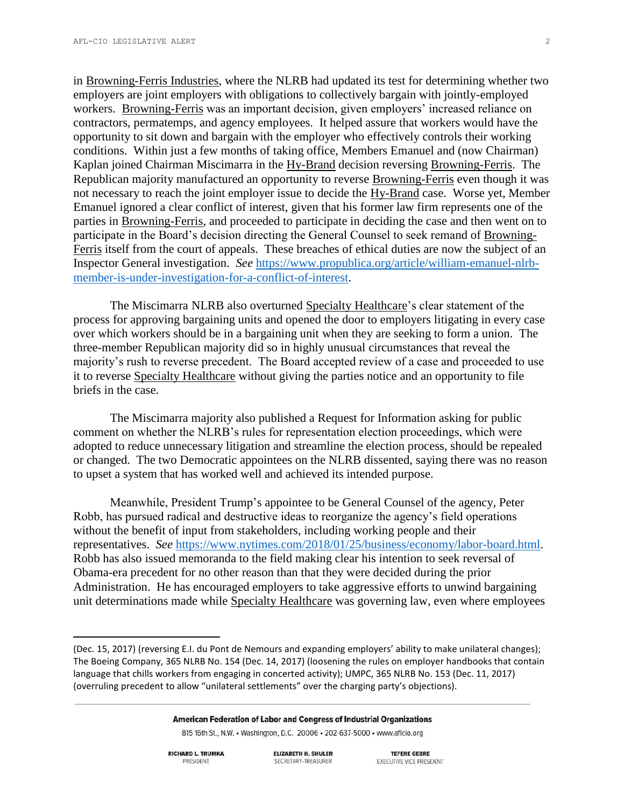in Browning-Ferris Industries, where the NLRB had updated its test for determining whether two employers are joint employers with obligations to collectively bargain with jointly-employed workers. Browning-Ferris was an important decision, given employers' increased reliance on contractors, permatemps, and agency employees. It helped assure that workers would have the opportunity to sit down and bargain with the employer who effectively controls their working conditions. Within just a few months of taking office, Members Emanuel and (now Chairman) Kaplan joined Chairman Miscimarra in the Hy-Brand decision reversing Browning-Ferris. The Republican majority manufactured an opportunity to reverse Browning-Ferris even though it was not necessary to reach the joint employer issue to decide the Hy-Brand case. Worse yet, Member Emanuel ignored a clear conflict of interest, given that his former law firm represents one of the parties in Browning-Ferris, and proceeded to participate in deciding the case and then went on to participate in the Board's decision directing the General Counsel to seek remand of Browning-Ferris itself from the court of appeals. These breaches of ethical duties are now the subject of an Inspector General investigation. *See* [https://www.propublica.org/article/william-emanuel-nlrb](https://www.propublica.org/article/william-emanuel-nlrb-member-is-under-investigation-for-a-conflict-of-interest)[member-is-under-investigation-for-a-conflict-of-interest.](https://www.propublica.org/article/william-emanuel-nlrb-member-is-under-investigation-for-a-conflict-of-interest)

The Miscimarra NLRB also overturned Specialty Healthcare's clear statement of the process for approving bargaining units and opened the door to employers litigating in every case over which workers should be in a bargaining unit when they are seeking to form a union. The three-member Republican majority did so in highly unusual circumstances that reveal the majority's rush to reverse precedent. The Board accepted review of a case and proceeded to use it to reverse Specialty Healthcare without giving the parties notice and an opportunity to file briefs in the case.

The Miscimarra majority also published a Request for Information asking for public comment on whether the NLRB's rules for representation election proceedings, which were adopted to reduce unnecessary litigation and streamline the election process, should be repealed or changed. The two Democratic appointees on the NLRB dissented, saying there was no reason to upset a system that has worked well and achieved its intended purpose.

Meanwhile, President Trump's appointee to be General Counsel of the agency, Peter Robb, has pursued radical and destructive ideas to reorganize the agency's field operations without the benefit of input from stakeholders, including working people and their representatives. *See* [https://www.nytimes.com/2018/01/25/business/economy/labor-board.html.](https://www.nytimes.com/2018/01/25/business/economy/labor-board.html) Robb has also issued memoranda to the field making clear his intention to seek reversal of Obama-era precedent for no other reason than that they were decided during the prior Administration. He has encouraged employers to take aggressive efforts to unwind bargaining unit determinations made while Specialty Healthcare was governing law, even where employees

American Federation of Labor and Congress of Industrial Organizations

815 16th St., N.W. • Washington, D.C. 20006 • 202-637-5000 • www.aflcio.org

**RICHARD L. TRUMKA** PRESIDENT

 $\overline{\phantom{a}}$ 

**ELIZABETH H. SHULER** SECRETARY-TREASURER

**TEFERE GEBRE** EXECUTIVE VICE PRESIDENT

<sup>(</sup>Dec. 15, 2017) (reversing E.I. du Pont de Nemours and expanding employers' ability to make unilateral changes); The Boeing Company, 365 NLRB No. 154 (Dec. 14, 2017) (loosening the rules on employer handbooks that contain language that chills workers from engaging in concerted activity); UMPC, 365 NLRB No. 153 (Dec. 11, 2017) (overruling precedent to allow "unilateral settlements" over the charging party's objections).